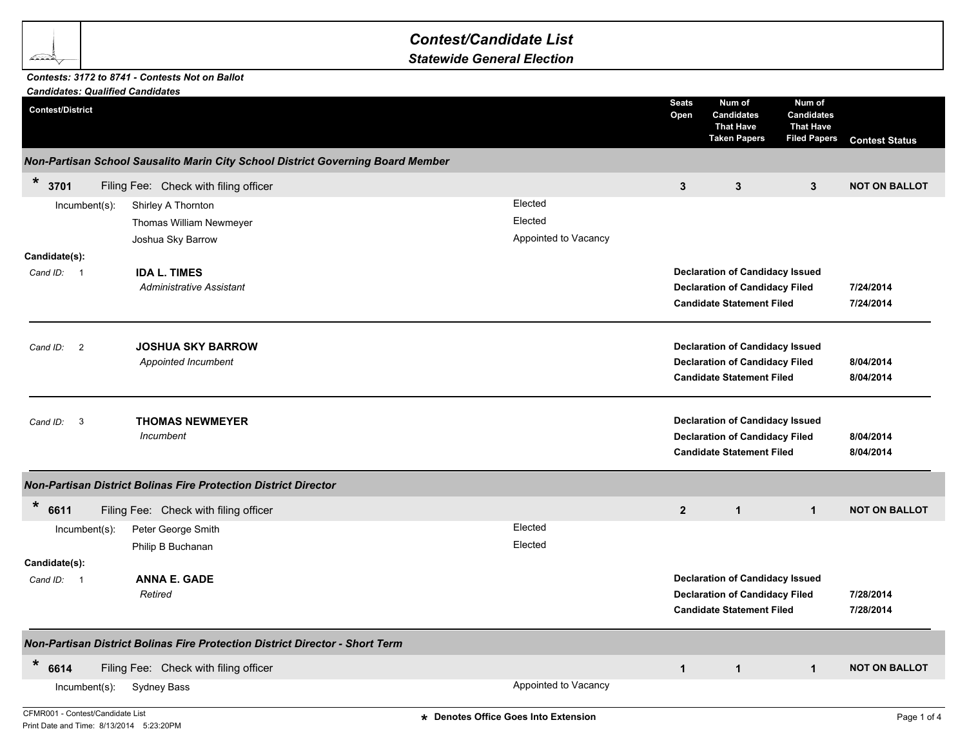## *Contest/Candidate List*

*Statewide General Election*

## *Candidates: Qualified Candidates Contests: 3172 to 8741 - Contests Not on Ballot*

| Candidates: Qualified Candidates<br><b>Contest/District</b> |                                                                                 | <b>Seats</b><br>Open | Num of<br><b>Candidates</b><br><b>That Have</b><br><b>Taken Papers</b>                                              | Num of<br><b>Candidates</b><br><b>That Have</b><br><b>Filed Papers</b> | <b>Contest Status</b>  |
|-------------------------------------------------------------|---------------------------------------------------------------------------------|----------------------|---------------------------------------------------------------------------------------------------------------------|------------------------------------------------------------------------|------------------------|
|                                                             | Non-Partisan School Sausalito Marin City School District Governing Board Member |                      |                                                                                                                     |                                                                        |                        |
| $\ast$<br>3701                                              | Filing Fee: Check with filing officer                                           | 3                    | $\mathbf{3}$                                                                                                        | $\mathbf{3}$                                                           | <b>NOT ON BALLOT</b>   |
| $Incumbent(s)$ :                                            | Elected<br>Shirley A Thornton                                                   |                      |                                                                                                                     |                                                                        |                        |
|                                                             | Elected<br>Thomas William Newmeyer                                              |                      |                                                                                                                     |                                                                        |                        |
|                                                             | Appointed to Vacancy<br>Joshua Sky Barrow                                       |                      |                                                                                                                     |                                                                        |                        |
| Candidate(s):                                               |                                                                                 |                      |                                                                                                                     |                                                                        |                        |
| Cand ID: 1                                                  | <b>IDA L. TIMES</b>                                                             |                      | <b>Declaration of Candidacy Issued</b>                                                                              |                                                                        |                        |
|                                                             | <b>Administrative Assistant</b>                                                 |                      | <b>Declaration of Candidacy Filed</b><br><b>Candidate Statement Filed</b>                                           |                                                                        | 7/24/2014<br>7/24/2014 |
| $\overline{2}$<br>Cand ID:                                  | <b>JOSHUA SKY BARROW</b>                                                        |                      | <b>Declaration of Candidacy Issued</b>                                                                              |                                                                        |                        |
|                                                             | Appointed Incumbent                                                             |                      | <b>Declaration of Candidacy Filed</b><br><b>Candidate Statement Filed</b>                                           |                                                                        | 8/04/2014<br>8/04/2014 |
| 3<br>Cand ID:                                               | <b>THOMAS NEWMEYER</b><br>Incumbent                                             |                      | <b>Declaration of Candidacy Issued</b><br><b>Declaration of Candidacy Filed</b><br><b>Candidate Statement Filed</b> |                                                                        | 8/04/2014<br>8/04/2014 |
|                                                             | <b>Non-Partisan District Bolinas Fire Protection District Director</b>          |                      |                                                                                                                     |                                                                        |                        |
| $\ast$<br>6611                                              | Filing Fee: Check with filing officer                                           | $\overline{2}$       | $\mathbf{1}$                                                                                                        | $\mathbf{1}$                                                           | <b>NOT ON BALLOT</b>   |
| $Incumbent(s)$ :                                            | Elected<br>Peter George Smith                                                   |                      |                                                                                                                     |                                                                        |                        |
|                                                             | Elected<br>Philip B Buchanan                                                    |                      |                                                                                                                     |                                                                        |                        |
| Candidate(s):                                               |                                                                                 |                      |                                                                                                                     |                                                                        |                        |
| Cand ID: 1                                                  | <b>ANNA E. GADE</b>                                                             |                      | <b>Declaration of Candidacy Issued</b>                                                                              |                                                                        |                        |
|                                                             | Retired                                                                         |                      | <b>Declaration of Candidacy Filed</b><br><b>Candidate Statement Filed</b>                                           |                                                                        | 7/28/2014<br>7/28/2014 |
|                                                             | Non-Partisan District Bolinas Fire Protection District Director - Short Term    |                      |                                                                                                                     |                                                                        |                        |
| $\ast$<br>6614                                              | Filing Fee: Check with filing officer                                           | $\mathbf{1}$         | $\mathbf{1}$                                                                                                        | $\mathbf{1}$                                                           | <b>NOT ON BALLOT</b>   |
| $lncumbent(s)$ :                                            | Appointed to Vacancy<br>Sydney Bass                                             |                      |                                                                                                                     |                                                                        |                        |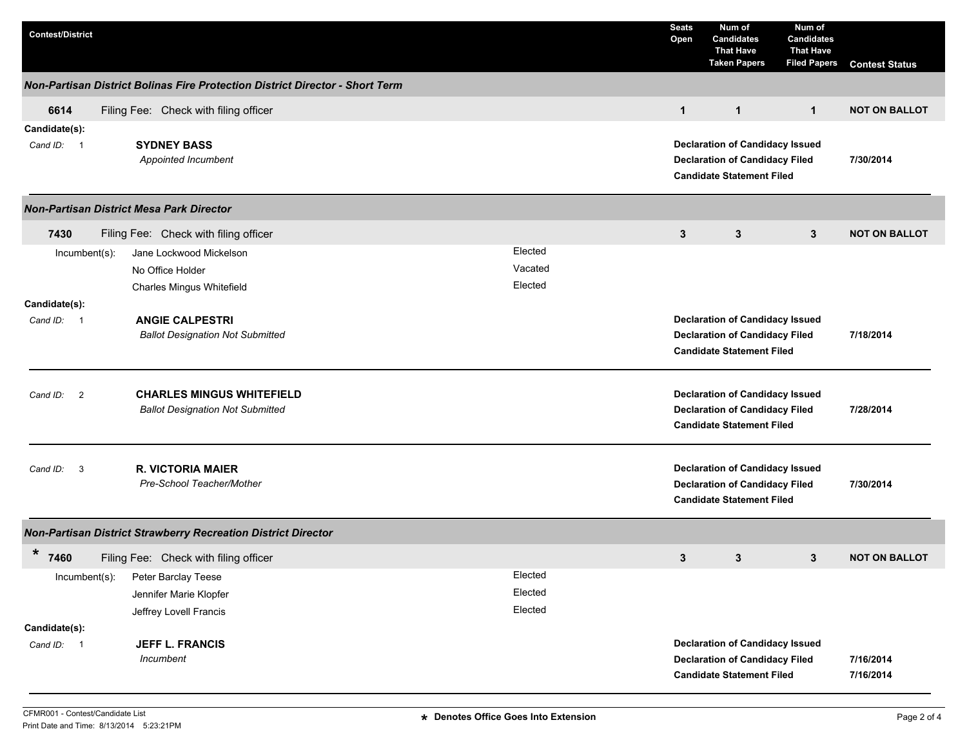| <b>Contest/District</b>              |                                                                              |         | <b>Seats</b><br>Open | Num of<br><b>Candidates</b><br><b>That Have</b><br><b>Taken Papers</b>                                              | Num of<br><b>Candidates</b><br><b>That Have</b><br><b>Filed Papers</b> | <b>Contest Status</b>  |
|--------------------------------------|------------------------------------------------------------------------------|---------|----------------------|---------------------------------------------------------------------------------------------------------------------|------------------------------------------------------------------------|------------------------|
|                                      | Non-Partisan District Bolinas Fire Protection District Director - Short Term |         |                      |                                                                                                                     |                                                                        |                        |
| 6614                                 | Filing Fee: Check with filing officer                                        |         | $\mathbf{1}$         | $\mathbf{1}$                                                                                                        | $\mathbf{1}$                                                           | <b>NOT ON BALLOT</b>   |
| Candidate(s):<br>Cand ID: 1          | <b>SYDNEY BASS</b><br>Appointed Incumbent                                    |         |                      | <b>Declaration of Candidacy Issued</b><br><b>Declaration of Candidacy Filed</b><br><b>Candidate Statement Filed</b> |                                                                        |                        |
|                                      | <b>Non-Partisan District Mesa Park Director</b>                              |         |                      |                                                                                                                     |                                                                        |                        |
| 7430                                 | Filing Fee: Check with filing officer                                        |         | 3                    | 3                                                                                                                   | $\mathbf{3}$                                                           | <b>NOT ON BALLOT</b>   |
| Incumbent(s):                        | Jane Lockwood Mickelson                                                      | Elected |                      |                                                                                                                     |                                                                        |                        |
|                                      | No Office Holder                                                             | Vacated |                      |                                                                                                                     |                                                                        |                        |
|                                      | Charles Mingus Whitefield                                                    | Elected |                      |                                                                                                                     |                                                                        |                        |
| Candidate(s):                        |                                                                              |         |                      |                                                                                                                     |                                                                        |                        |
| Cand ID: 1<br><b>ANGIE CALPESTRI</b> |                                                                              |         |                      | <b>Declaration of Candidacy Issued</b>                                                                              |                                                                        |                        |
|                                      | <b>Ballot Designation Not Submitted</b>                                      |         |                      | <b>Declaration of Candidacy Filed</b><br>7/18/2014<br><b>Candidate Statement Filed</b>                              |                                                                        |                        |
| Cand ID: 2                           | <b>CHARLES MINGUS WHITEFIELD</b><br><b>Ballot Designation Not Submitted</b>  |         |                      | <b>Declaration of Candidacy Issued</b><br><b>Declaration of Candidacy Filed</b><br><b>Candidate Statement Filed</b> | 7/28/2014                                                              |                        |
| Cand ID:<br>$\overline{\mathbf{3}}$  | <b>R. VICTORIA MAIER</b><br>Pre-School Teacher/Mother                        |         |                      | <b>Declaration of Candidacy Issued</b><br><b>Declaration of Candidacy Filed</b><br><b>Candidate Statement Filed</b> | 7/30/2014                                                              |                        |
|                                      | <b>Non-Partisan District Strawberry Recreation District Director</b>         |         |                      |                                                                                                                     |                                                                        |                        |
| $\star$<br>7460                      | Filing Fee: Check with filing officer                                        |         | 3                    | 3                                                                                                                   | 3                                                                      | <b>NOT ON BALLOT</b>   |
| Incumbent(s):                        | Peter Barclay Teese                                                          | Elected |                      |                                                                                                                     |                                                                        |                        |
|                                      | Jennifer Marie Klopfer                                                       | Elected |                      |                                                                                                                     |                                                                        |                        |
|                                      | Jeffrey Lovell Francis                                                       | Elected |                      |                                                                                                                     |                                                                        |                        |
| Candidate(s):                        |                                                                              |         |                      |                                                                                                                     |                                                                        |                        |
| Cand ID: 1                           | <b>JEFF L. FRANCIS</b>                                                       |         |                      | <b>Declaration of Candidacy Issued</b>                                                                              |                                                                        |                        |
|                                      | Incumbent                                                                    |         |                      | <b>Declaration of Candidacy Filed</b><br><b>Candidate Statement Filed</b>                                           |                                                                        | 7/16/2014<br>7/16/2014 |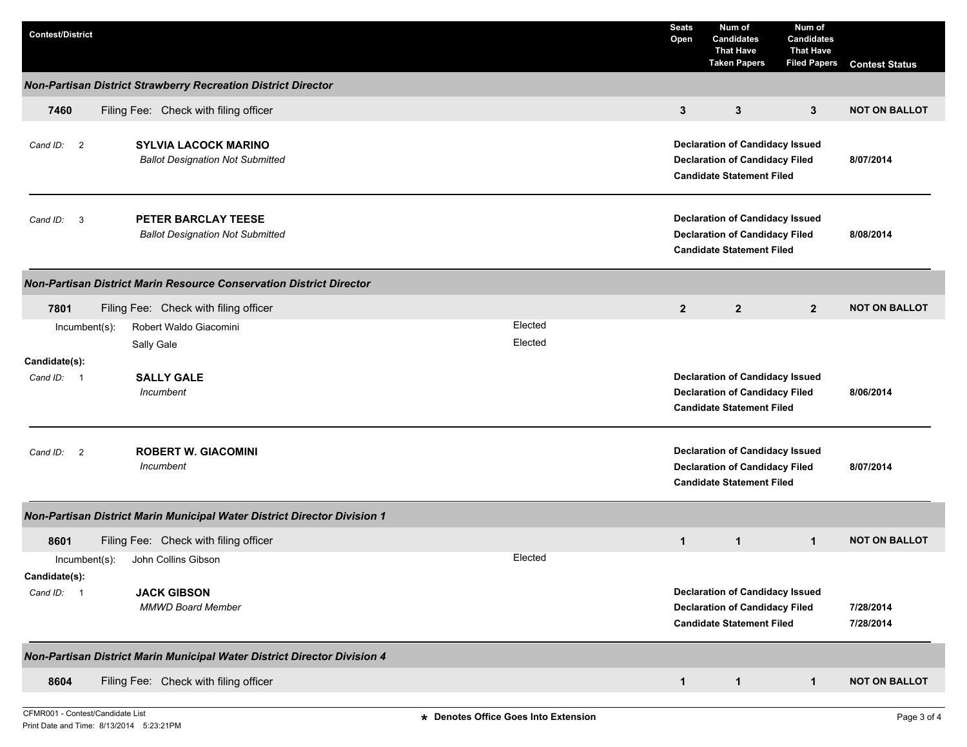| <b>Contest/District</b>                                                              |                                                                            |                                                                                                                     | <b>Seats</b><br>Open | Num of<br><b>Candidates</b><br><b>That Have</b><br><b>Taken Papers</b>                                              | Num of<br><b>Candidates</b><br><b>That Have</b><br><b>Filed Papers</b> | <b>Contest Status</b>  |
|--------------------------------------------------------------------------------------|----------------------------------------------------------------------------|---------------------------------------------------------------------------------------------------------------------|----------------------|---------------------------------------------------------------------------------------------------------------------|------------------------------------------------------------------------|------------------------|
|                                                                                      | Non-Partisan District Strawberry Recreation District Director              |                                                                                                                     |                      |                                                                                                                     |                                                                        |                        |
| 7460                                                                                 | Filing Fee: Check with filing officer                                      |                                                                                                                     | $\mathbf{3}$         | 3                                                                                                                   | $\mathbf{3}$                                                           | <b>NOT ON BALLOT</b>   |
| <b>SYLVIA LACOCK MARINO</b><br>Cand ID: 2<br><b>Ballot Designation Not Submitted</b> |                                                                            | <b>Declaration of Candidacy Issued</b><br><b>Declaration of Candidacy Filed</b><br><b>Candidate Statement Filed</b> |                      |                                                                                                                     | 8/07/2014                                                              |                        |
| $\mathbf{3}$<br>Cand ID:                                                             | <b>PETER BARCLAY TEESE</b><br><b>Ballot Designation Not Submitted</b>      |                                                                                                                     |                      | <b>Declaration of Candidacy Issued</b><br><b>Declaration of Candidacy Filed</b><br><b>Candidate Statement Filed</b> |                                                                        | 8/08/2014              |
|                                                                                      | <b>Non-Partisan District Marin Resource Conservation District Director</b> |                                                                                                                     |                      |                                                                                                                     |                                                                        |                        |
| 7801                                                                                 | Filing Fee: Check with filing officer                                      |                                                                                                                     | $\overline{2}$       | $\mathbf{2}$                                                                                                        | $\mathbf{2}$                                                           | <b>NOT ON BALLOT</b>   |
| $Incumbent(s)$ :                                                                     | Robert Waldo Giacomini                                                     | Elected                                                                                                             |                      |                                                                                                                     |                                                                        |                        |
|                                                                                      | Sally Gale                                                                 | Elected                                                                                                             |                      |                                                                                                                     |                                                                        |                        |
| Candidate(s):<br>Cand ID: 1                                                          | <b>SALLY GALE</b><br>Incumbent                                             |                                                                                                                     |                      | <b>Declaration of Candidacy Issued</b><br><b>Declaration of Candidacy Filed</b><br><b>Candidate Statement Filed</b> |                                                                        | 8/06/2014              |
| $\overline{2}$<br>Cand ID:                                                           | <b>ROBERT W. GIACOMINI</b><br>Incumbent                                    |                                                                                                                     |                      | <b>Declaration of Candidacy Issued</b><br><b>Declaration of Candidacy Filed</b><br><b>Candidate Statement Filed</b> |                                                                        | 8/07/2014              |
|                                                                                      | Non-Partisan District Marin Municipal Water District Director Division 1   |                                                                                                                     |                      |                                                                                                                     |                                                                        |                        |
| 8601                                                                                 | Filing Fee: Check with filing officer                                      |                                                                                                                     | $\mathbf{1}$         | $\mathbf{1}$                                                                                                        | $\mathbf{1}$                                                           | <b>NOT ON BALLOT</b>   |
| $Incumbent(s)$ :<br>Candidate(s):                                                    | John Collins Gibson                                                        | Elected                                                                                                             |                      |                                                                                                                     |                                                                        |                        |
| Cand ID: 1                                                                           | <b>JACK GIBSON</b><br><b>MMWD Board Member</b>                             |                                                                                                                     |                      | <b>Declaration of Candidacy Issued</b><br><b>Declaration of Candidacy Filed</b><br><b>Candidate Statement Filed</b> |                                                                        | 7/28/2014<br>7/28/2014 |
|                                                                                      | Non-Partisan District Marin Municipal Water District Director Division 4   |                                                                                                                     |                      |                                                                                                                     |                                                                        |                        |
| 8604                                                                                 | Filing Fee: Check with filing officer                                      |                                                                                                                     | $\mathbf{1}$         | $\mathbf{1}$                                                                                                        | $\mathbf{1}$                                                           | <b>NOT ON BALLOT</b>   |